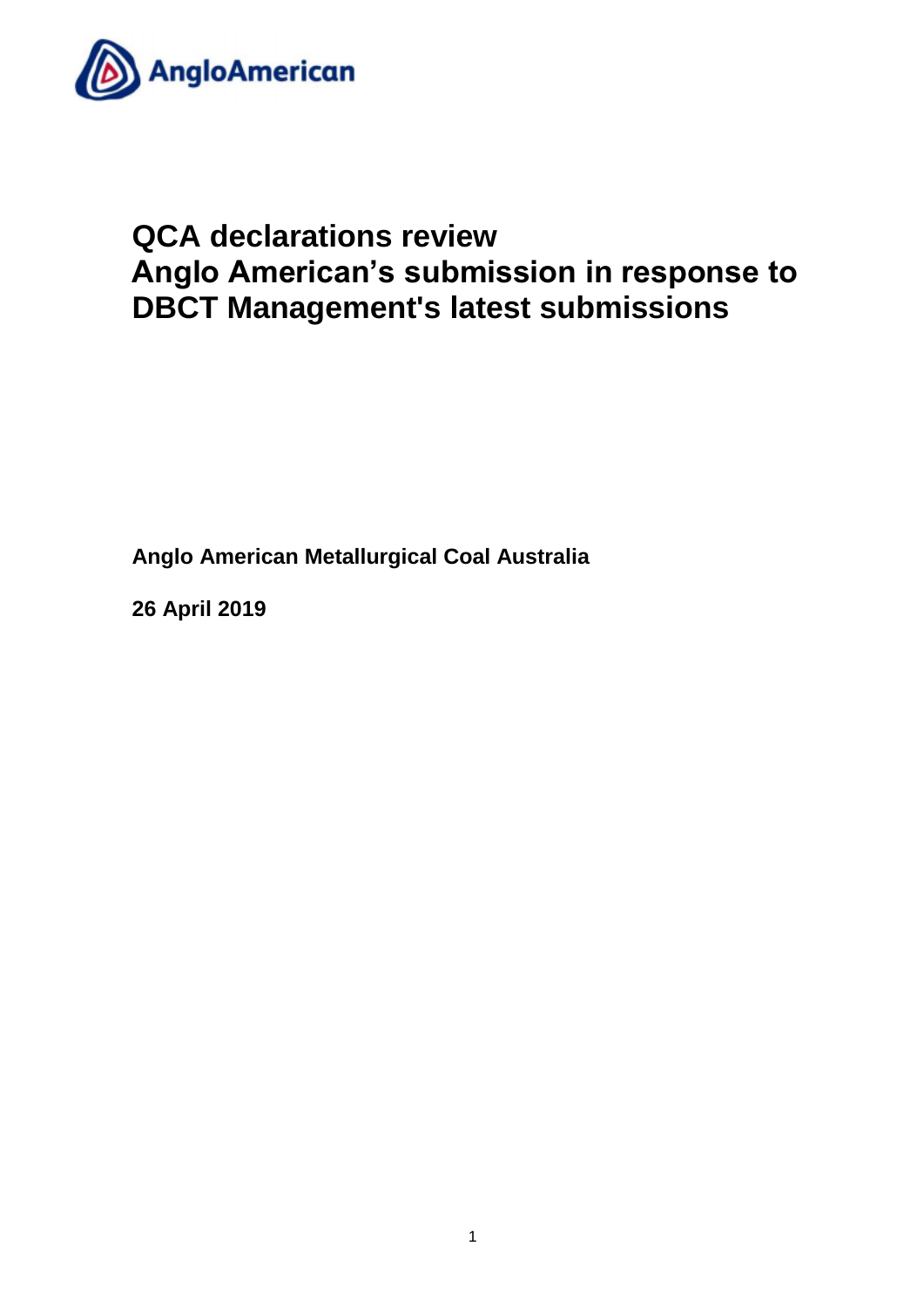

# **QCA declarations review Anglo American's submission in response to DBCT Management's latest submissions**

**Anglo American Metallurgical Coal Australia** 

**26 April 2019**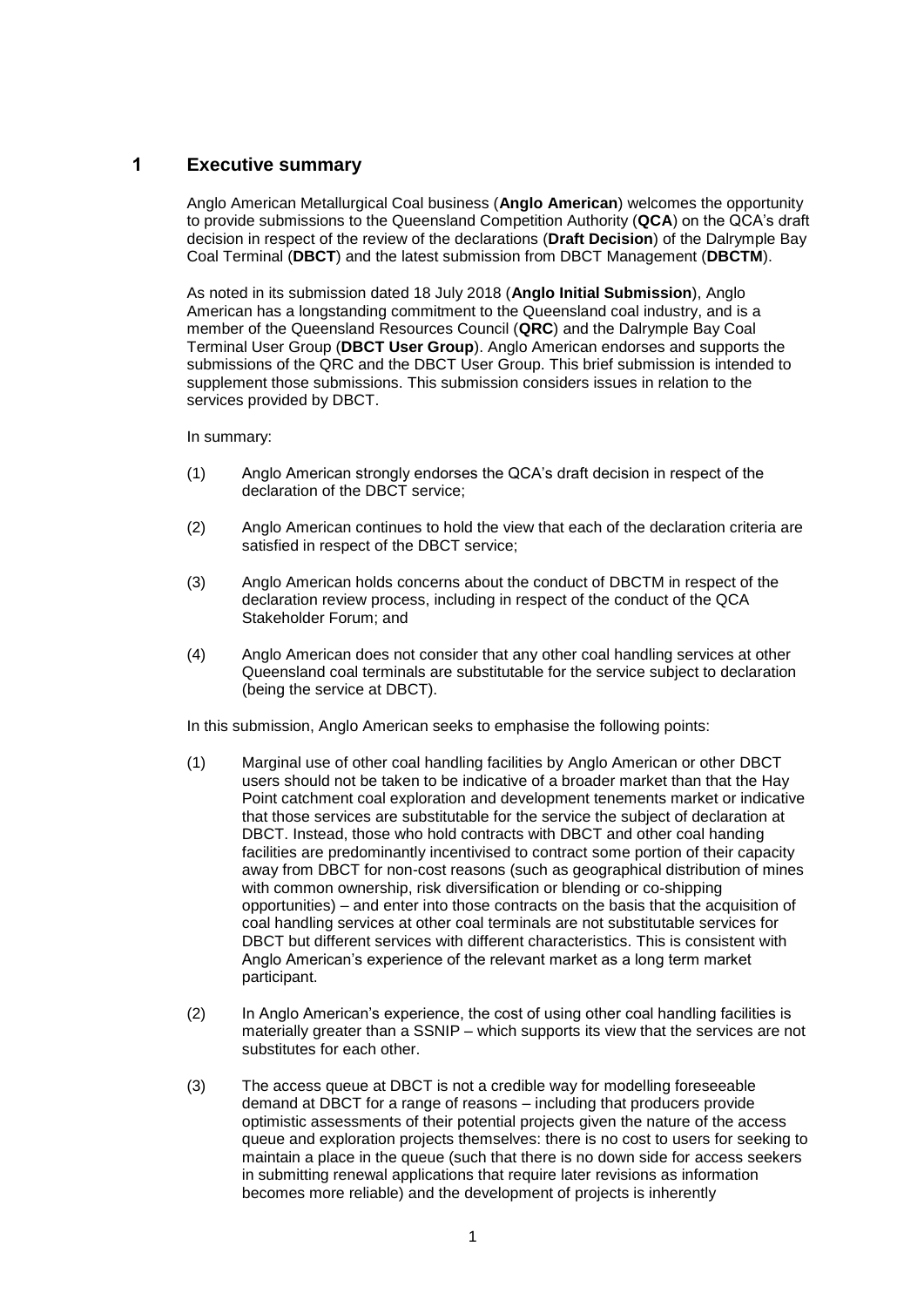## **1 Executive summary**

Anglo American Metallurgical Coal business (**Anglo American**) welcomes the opportunity to provide submissions to the Queensland Competition Authority (**QCA**) on the QCA's draft decision in respect of the review of the declarations (**Draft Decision**) of the Dalrymple Bay Coal Terminal (**DBCT**) and the latest submission from DBCT Management (**DBCTM**).

As noted in its submission dated 18 July 2018 (**Anglo Initial Submission**), Anglo American has a longstanding commitment to the Queensland coal industry, and is a member of the Queensland Resources Council (**QRC**) and the Dalrymple Bay Coal Terminal User Group (**DBCT User Group**). Anglo American endorses and supports the submissions of the QRC and the DBCT User Group. This brief submission is intended to supplement those submissions. This submission considers issues in relation to the services provided by DBCT.

In summary:

- (1) Anglo American strongly endorses the QCA's draft decision in respect of the declaration of the DBCT service;
- (2) Anglo American continues to hold the view that each of the declaration criteria are satisfied in respect of the DBCT service;
- (3) Anglo American holds concerns about the conduct of DBCTM in respect of the declaration review process, including in respect of the conduct of the QCA Stakeholder Forum; and
- (4) Anglo American does not consider that any other coal handling services at other Queensland coal terminals are substitutable for the service subject to declaration (being the service at DBCT).

In this submission, Anglo American seeks to emphasise the following points:

- (1) Marginal use of other coal handling facilities by Anglo American or other DBCT users should not be taken to be indicative of a broader market than that the Hay Point catchment coal exploration and development tenements market or indicative that those services are substitutable for the service the subject of declaration at DBCT. Instead, those who hold contracts with DBCT and other coal handing facilities are predominantly incentivised to contract some portion of their capacity away from DBCT for non-cost reasons (such as geographical distribution of mines with common ownership, risk diversification or blending or co-shipping opportunities) – and enter into those contracts on the basis that the acquisition of coal handling services at other coal terminals are not substitutable services for DBCT but different services with different characteristics. This is consistent with Anglo American's experience of the relevant market as a long term market participant.
- (2) In Anglo American's experience, the cost of using other coal handling facilities is materially greater than a SSNIP – which supports its view that the services are not substitutes for each other.
- (3) The access queue at DBCT is not a credible way for modelling foreseeable demand at DBCT for a range of reasons – including that producers provide optimistic assessments of their potential projects given the nature of the access queue and exploration projects themselves: there is no cost to users for seeking to maintain a place in the queue (such that there is no down side for access seekers in submitting renewal applications that require later revisions as information becomes more reliable) and the development of projects is inherently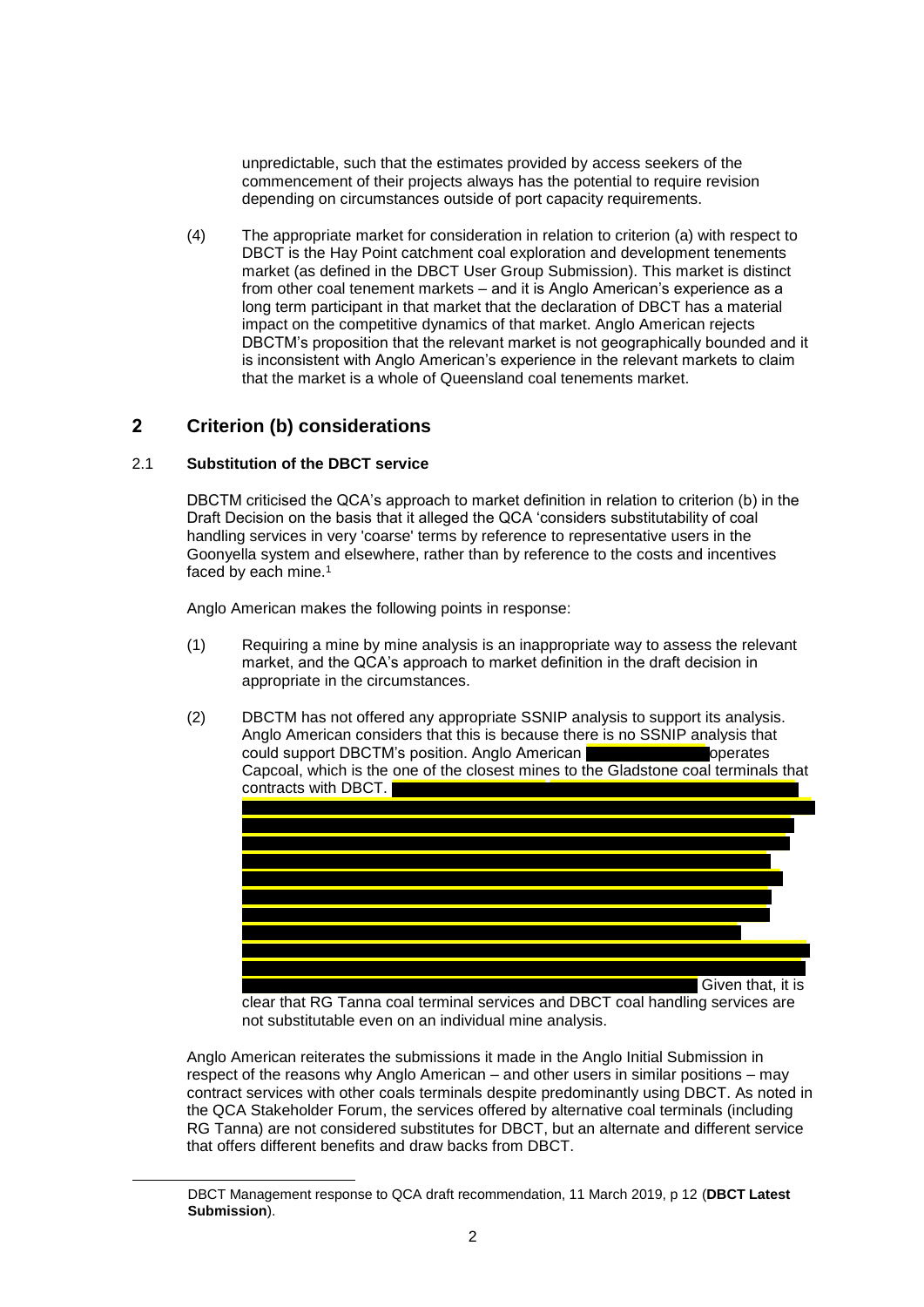unpredictable, such that the estimates provided by access seekers of the commencement of their projects always has the potential to require revision depending on circumstances outside of port capacity requirements.

(4) The appropriate market for consideration in relation to criterion (a) with respect to DBCT is the Hay Point catchment coal exploration and development tenements market (as defined in the DBCT User Group Submission). This market is distinct from other coal tenement markets – and it is Anglo American's experience as a long term participant in that market that the declaration of DBCT has a material impact on the competitive dynamics of that market. Anglo American rejects DBCTM's proposition that the relevant market is not geographically bounded and it is inconsistent with Anglo American's experience in the relevant markets to claim that the market is a whole of Queensland coal tenements market.

## **2 Criterion (b) considerations**

### 2.1 **Substitution of the DBCT service**

1

DBCTM criticised the QCA's approach to market definition in relation to criterion (b) in the Draft Decision on the basis that it alleged the QCA 'considers substitutability of coal handling services in very 'coarse' terms by reference to representative users in the Goonyella system and elsewhere, rather than by reference to the costs and incentives faced by each mine.<sup>1</sup>

Anglo American makes the following points in response:

- (1) Requiring a mine by mine analysis is an inappropriate way to assess the relevant market, and the QCA's approach to market definition in the draft decision in appropriate in the circumstances.
- (2) DBCTM has not offered any appropriate SSNIP analysis to support its analysis. Anglo American considers that this is because there is no SSNIP analysis that could support DBCTM's position. Anglo American **Construction of the Section American** operates Capcoal, which is the one of the closest mines to the Gladstone coal terminals that contracts with DBCT.



clear that RG Tanna coal terminal services and DBCT coal handling services are not substitutable even on an individual mine analysis.

Anglo American reiterates the submissions it made in the Anglo Initial Submission in respect of the reasons why Anglo American – and other users in similar positions – may contract services with other coals terminals despite predominantly using DBCT. As noted in the QCA Stakeholder Forum, the services offered by alternative coal terminals (including RG Tanna) are not considered substitutes for DBCT, but an alternate and different service that offers different benefits and draw backs from DBCT.

DBCT Management response to QCA draft recommendation, 11 March 2019, p 12 (**DBCT Latest Submission**).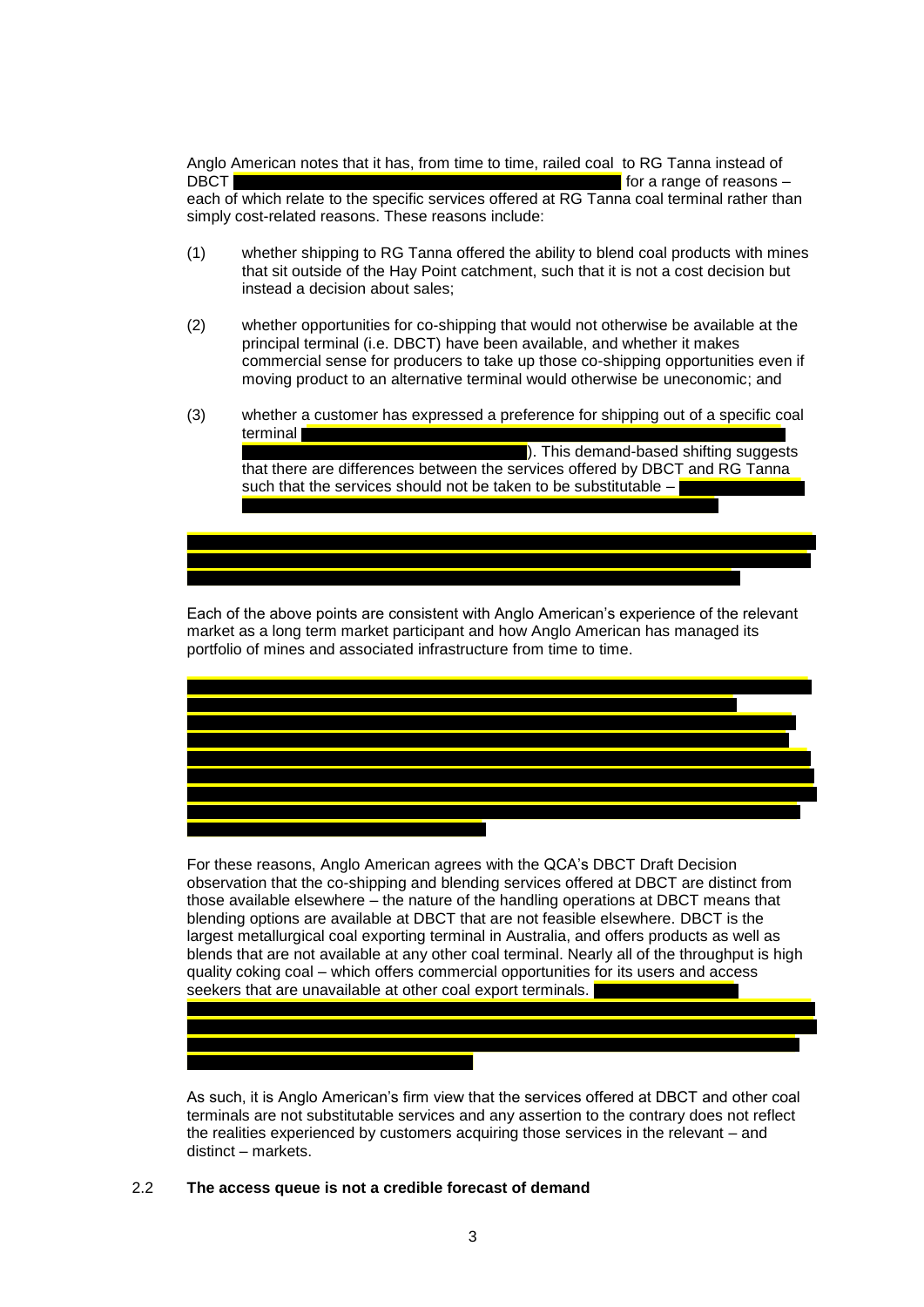Anglo American notes that it has, from time to time, railed coal to RG Tanna instead of DBCT for a range of reasons  $$ each of which relate to the specific services offered at RG Tanna coal terminal rather than simply cost-related reasons. These reasons include:

- (1) whether shipping to RG Tanna offered the ability to blend coal products with mines that sit outside of the Hay Point catchment, such that it is not a cost decision but instead a decision about sales;
- (2) whether opportunities for co-shipping that would not otherwise be available at the principal terminal (i.e. DBCT) have been available, and whether it makes commercial sense for producers to take up those co-shipping opportunities even if moving product to an alternative terminal would otherwise be uneconomic; and
- (3) whether a customer has expressed a preference for shipping out of a specific coal terminal

 $\blacksquare$ ). This demand-based shifting suggests that there are differences between the services offered by DBCT and RG Tanna such that the services should not be taken to be substitutable  $-\blacksquare$ 

Each of the above points are consistent with Anglo American's experience of the relevant market as a long term market participant and how Anglo American has managed its portfolio of mines and associated infrastructure from time to time.



For these reasons, Anglo American agrees with the QCA's DBCT Draft Decision observation that the co-shipping and blending services offered at DBCT are distinct from those available elsewhere – the nature of the handling operations at DBCT means that blending options are available at DBCT that are not feasible elsewhere. DBCT is the largest metallurgical coal exporting terminal in Australia, and offers products as well as blends that are not available at any other coal terminal. Nearly all of the throughput is high quality coking coal – which offers commercial opportunities for its users and access seekers that are unavailable at other coal export terminals.

As such, it is Anglo American's firm view that the services offered at DBCT and other coal terminals are not substitutable services and any assertion to the contrary does not reflect the realities experienced by customers acquiring those services in the relevant – and distinct – markets.

### 2.2 **The access queue is not a credible forecast of demand**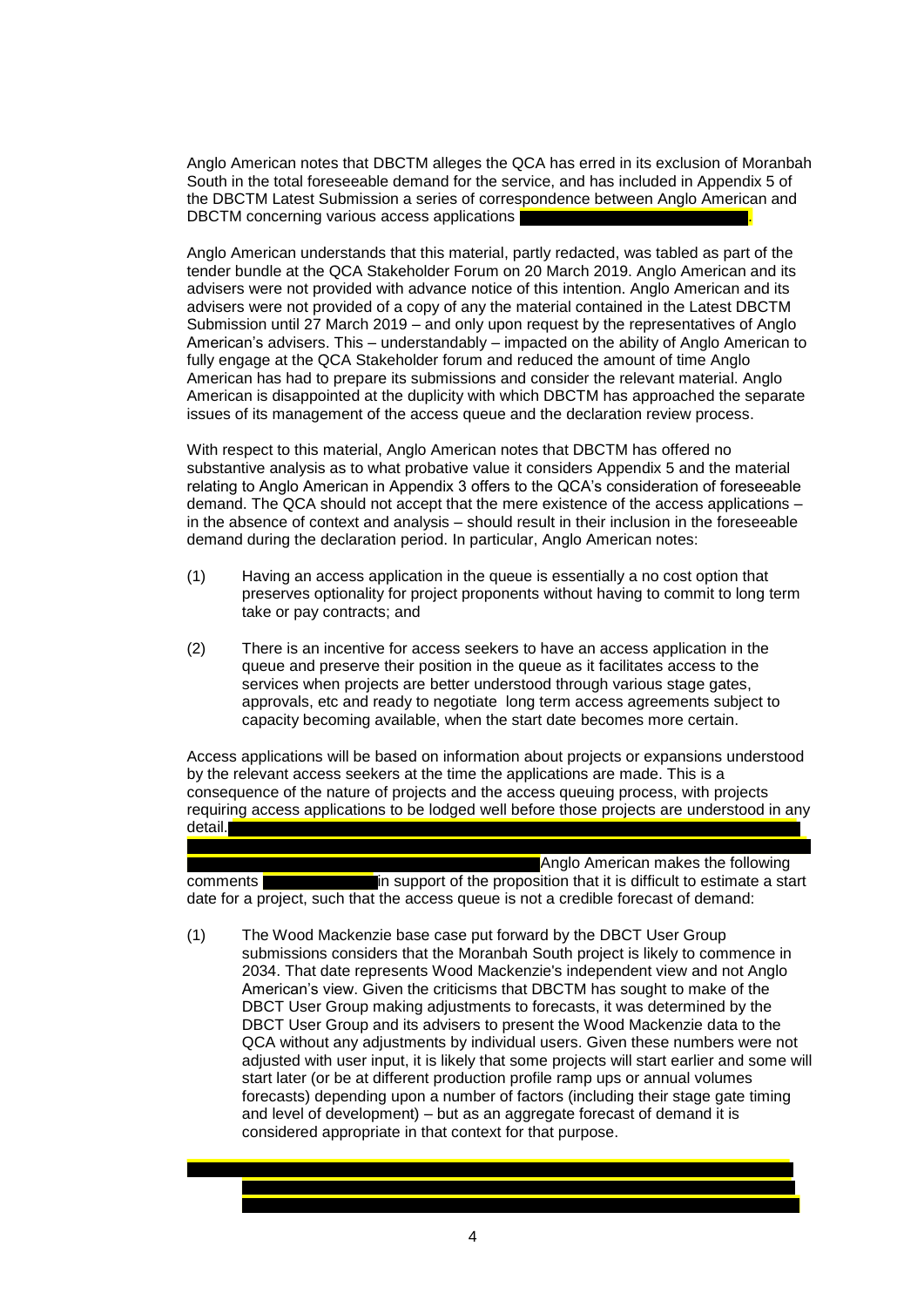Anglo American notes that DBCTM alleges the QCA has erred in its exclusion of Moranbah South in the total foreseeable demand for the service, and has included in Appendix 5 of the DBCTM Latest Submission a series of correspondence between Anglo American and DBCTM concerning various access applications

Anglo American understands that this material, partly redacted, was tabled as part of the tender bundle at the QCA Stakeholder Forum on 20 March 2019. Anglo American and its advisers were not provided with advance notice of this intention. Anglo American and its advisers were not provided of a copy of any the material contained in the Latest DBCTM Submission until 27 March 2019 – and only upon request by the representatives of Anglo American's advisers. This – understandably – impacted on the ability of Anglo American to fully engage at the QCA Stakeholder forum and reduced the amount of time Anglo American has had to prepare its submissions and consider the relevant material. Anglo American is disappointed at the duplicity with which DBCTM has approached the separate issues of its management of the access queue and the declaration review process.

With respect to this material, Anglo American notes that DBCTM has offered no substantive analysis as to what probative value it considers Appendix 5 and the material relating to Anglo American in Appendix 3 offers to the QCA's consideration of foreseeable demand. The QCA should not accept that the mere existence of the access applications – in the absence of context and analysis – should result in their inclusion in the foreseeable demand during the declaration period. In particular, Anglo American notes:

- (1) Having an access application in the queue is essentially a no cost option that preserves optionality for project proponents without having to commit to long term take or pay contracts; and
- (2) There is an incentive for access seekers to have an access application in the queue and preserve their position in the queue as it facilitates access to the services when projects are better understood through various stage gates, approvals, etc and ready to negotiate long term access agreements subject to capacity becoming available, when the start date becomes more certain.

Access applications will be based on information about projects or expansions understood by the relevant access seekers at the time the applications are made. This is a consequence of the nature of projects and the access queuing process, with projects requiring access applications to be lodged well before those projects are understood in any detail.

**Anglo American makes the following** comments **in support of the proposition that it is difficult to estimate a start** date for a project, such that the access queue is not a credible forecast of demand:

(1) The Wood Mackenzie base case put forward by the DBCT User Group submissions considers that the Moranbah South project is likely to commence in 2034. That date represents Wood Mackenzie's independent view and not Anglo American's view. Given the criticisms that DBCTM has sought to make of the DBCT User Group making adjustments to forecasts, it was determined by the DBCT User Group and its advisers to present the Wood Mackenzie data to the QCA without any adjustments by individual users. Given these numbers were not adjusted with user input, it is likely that some projects will start earlier and some will start later (or be at different production profile ramp ups or annual volumes forecasts) depending upon a number of factors (including their stage gate timing and level of development) – but as an aggregate forecast of demand it is considered appropriate in that context for that purpose.